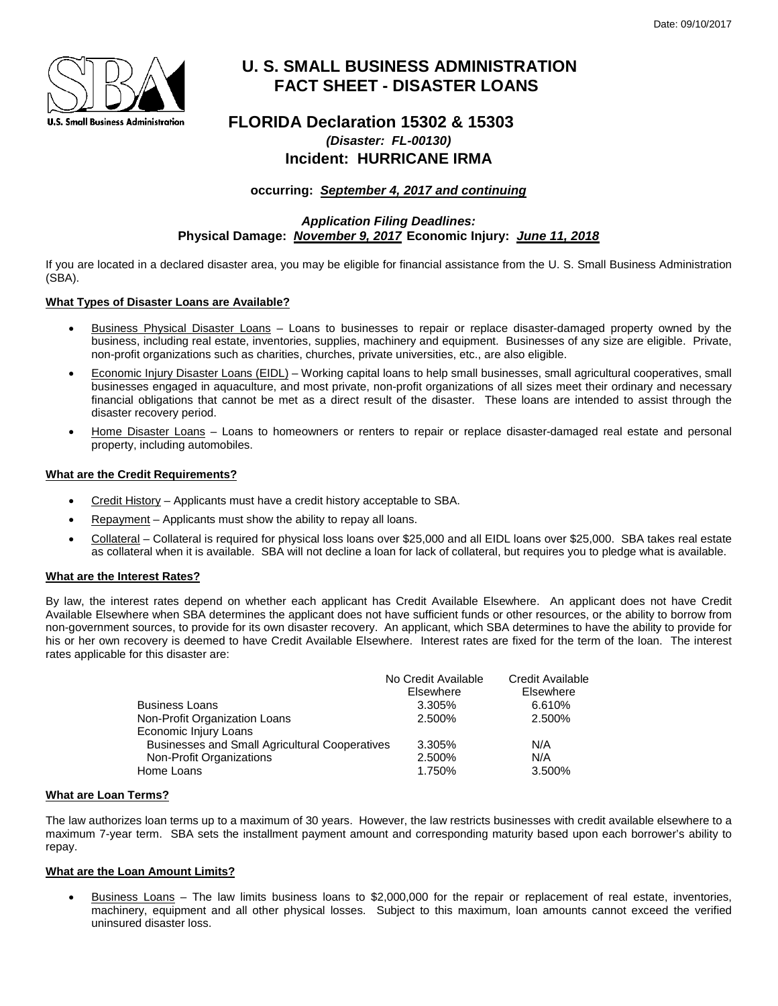

# **U. S. SMALL BUSINESS ADMINISTRATION FACT SHEET - DISASTER LOANS**

# **FLORIDA Declaration 15302 & 15303** *(Disaster: FL-00130)* **Incident: HURRICANE IRMA**

**occurring:** *September 4, 2017 and continuing*

*Application Filing Deadlines:* **Physical Damage:** *November 9, 2017* **Economic Injury:** *June 11, 2018*

If you are located in a declared disaster area, you may be eligible for financial assistance from the U. S. Small Business Administration (SBA).

# **What Types of Disaster Loans are Available?**

- Business Physical Disaster Loans Loans to businesses to repair or replace disaster-damaged property owned by the business, including real estate, inventories, supplies, machinery and equipment. Businesses of any size are eligible. Private, non-profit organizations such as charities, churches, private universities, etc., are also eligible.
- Economic Injury Disaster Loans (EIDL) Working capital loans to help small businesses, small agricultural cooperatives, small businesses engaged in aquaculture, and most private, non-profit organizations of all sizes meet their ordinary and necessary financial obligations that cannot be met as a direct result of the disaster. These loans are intended to assist through the disaster recovery period.
- Home Disaster Loans Loans to homeowners or renters to repair or replace disaster-damaged real estate and personal property, including automobiles.

# **What are the Credit Requirements?**

- Credit History Applicants must have a credit history acceptable to SBA.
- Repayment Applicants must show the ability to repay all loans.
- Collateral Collateral is required for physical loss loans over \$25,000 and all EIDL loans over \$25,000. SBA takes real estate as collateral when it is available. SBA will not decline a loan for lack of collateral, but requires you to pledge what is available.

# **What are the Interest Rates?**

By law, the interest rates depend on whether each applicant has Credit Available Elsewhere. An applicant does not have Credit Available Elsewhere when SBA determines the applicant does not have sufficient funds or other resources, or the ability to borrow from non-government sources, to provide for its own disaster recovery. An applicant, which SBA determines to have the ability to provide for his or her own recovery is deemed to have Credit Available Elsewhere. Interest rates are fixed for the term of the loan. The interest rates applicable for this disaster are:

|                                                       | No Credit Available<br>Elsewhere | <b>Credit Available</b><br>Elsewhere |
|-------------------------------------------------------|----------------------------------|--------------------------------------|
| <b>Business Loans</b>                                 | 3.305%                           | 6.610%                               |
| Non-Profit Organization Loans                         | 2.500%                           | 2.500%                               |
| Economic Injury Loans                                 |                                  |                                      |
| <b>Businesses and Small Agricultural Cooperatives</b> | 3.305%                           | N/A                                  |
| Non-Profit Organizations                              | 2.500%                           | N/A                                  |
| Home Loans                                            | 1.750%                           | 3.500%                               |

#### **What are Loan Terms?**

The law authorizes loan terms up to a maximum of 30 years. However, the law restricts businesses with credit available elsewhere to a maximum 7-year term. SBA sets the installment payment amount and corresponding maturity based upon each borrower's ability to repay.

# **What are the Loan Amount Limits?**

• Business Loans – The law limits business loans to \$2,000,000 for the repair or replacement of real estate, inventories, machinery, equipment and all other physical losses. Subject to this maximum, loan amounts cannot exceed the verified uninsured disaster loss.